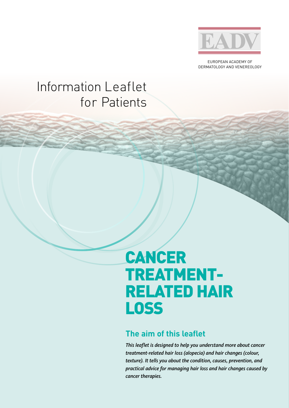

EUROPEAN ACADEMY OF DERMATOLOGY AND VENEREOLOGY

## Information Leaflet for Patients

# CANCER TREATMENT-RELATED HAIR LOSS

### **The aim of this leaflet**

*This leaflet is designed to help you understand more about cancer treatment-related hair loss (alopecia) and hair changes (colour, texture). It tells you about the condition, causes, prevention, and practical advice for managing hair loss and hair changes caused by cancer therapies.*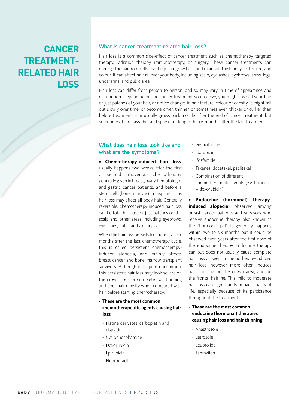### **CANCER TREATMENT-RELATED HAIR LOSS**

#### What is cancer treatment-related hair loss?

Hair loss is a common side-effect of cancer treatment such as chemotherapy, targeted therapy, radiation therapy, immunotherapy, or surgery. These cancer treatments can damage the hair root cells that help hair grow back and maintain the hair cycle, texture, and colour. It can affect hair all over your body, including scalp, eyelashes, eyebrows, arms, legs, underarms, and pubic area.

Hair loss can differ from person to person, and so may vary in time of appearance and distribution. Depending on the cancer treatment you receive, you might lose all your hair or just patches of your hair, or notice changes in hair texture, colour or density. It might fall out slowly over time, or become dryer, thinner, or sometimes even thicker or curlier than before treatment. Hair usually grows back months after the end of cancer treatment, but sometimes, hair stays thin and sparse for longer than 6 months after the last treatment.

#### What does hair loss look like and what are the symptoms?

**• Chemotherapy-induced hair loss**: usually happens two weeks after the first or second intravenous chemotherapy, generally given in breast, ovary, hematologic, and gastric cancer patients, and before a stem cell (bone marrow) transplant. This hair loss may affect all body hair. Generally reversible, chemotherapy-induced hair loss can be total hair loss or just patches on the scalp and other areas including eyebrows, eyelashes, pubic and axillary hair.

When the hair loss persists for more than six months after the last chemotherapy cycle, this is called persistent chemotherapyinduced alopecia, and mainly affects breast cancer and bone marrow transplant survivors. Although it is quite uncommon, this persistent hair loss may look severe on the crown area, or complete hair thinning and poor hair density when compared with hair before starting chemotherapy.

#### • **These are the most common chemotherapeutic agents causing hair loss**:

- Platine derivates: carboplatin and cisplatin
- Cyclophosphamide
- Doxorubicin
- Epirubicin
- Fluorouracil
- Gemcitabine
- Idarubicin
- Ifosfamide
- Taxanes: docetaxel, paclitaxel
- Combination of different chemotherapeutic agents (e.g. taxanes + doxorubicin)

**• Endocrine (hormonal) therapyinduced alopecia**: observed among breast cancer patients and survivors who receive endocrine therapy, also known as the "hormonal pill". It generally happens within two to six months but it could be observed even years after the first dose of the endocrine therapy. Endocrine therapy can but does not usually cause complete hair loss as seen in chemotherapy-induced hair loss; however more often induces hair thinning on the crown area, and on the frontal hairline. This mild to moderate hair loss can significantly impact quality of life, especially because of its persistence throughout the treatment.

- **These are the most common endocrine (hormonal) therapies causing hair loss and hair thinning**:
	- Anastrozole
	- Letrozole
	- Leuprolide
- Tamoxifen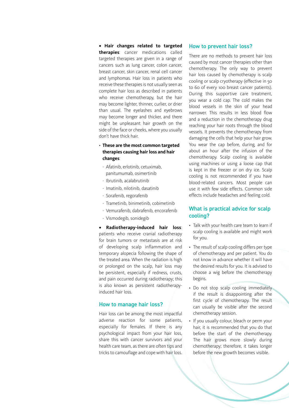**• Hair changes related to targeted therapies**: cancer medications called targeted therapies are given in a range of cancers such as lung cancer, colon cancer, breast cancer, skin cancer, renal cell cancer and lymphomas. Hair loss in patients who receive these therapies is not usually seen as complete hair loss as described in patients who receive chemotherapy, but the hair may become lighter, thinner, curlier, or drier than usual. The eyelashes and eyebrows may become longer and thicker, and there might be unpleasant hair growth on the side of the face or cheeks, where you usually don't have thick hair.

- **These are the most common targeted therapies causing hair loss and hair changes**:
	- Afatinib, erlotinib, cetuximab, panitumumab, osimertinib
	- Ibrutinib, acalabrutinib
	- Imatinib, nilotinib, dasatinib
	- Sorafenib, regorafenib
	- Trametinib, binimetinib, cobimetinib
	- Vemurafenib, dabrafenib, encorafenib
	- Vismodegib, sonidegib

**• Radiotherapy-induced hair loss**: patients who receive cranial radiotherapy for brain tumors or metastasis are at risk of developing scalp inflammation and temporary alopecia following the shape of the treated area. When the radiation is high or prolonged on the scalp, hair loss may be persistent, especially if redness, crusts, and pain occurred during radiotherapy; this is also known as persistent radiotherapyinduced hair loss.

#### How to manage hair loss?

Hair loss can be among the most impactful adverse reaction for some patients, especially for females. If there is any psychological impact from your hair loss, share this with cancer survivors and your health care team, as there are often tips and tricks to camouflage and cope with hair loss.

#### How to prevent hair loss?

There are no methods to prevent hair loss caused by most cancer therapies other than chemotherapy. The only way to prevent hair loss caused by chemotherapy is scalp cooling or scalp cryotherapy (effective in 50 to 60 of every 100 breast cancer patients). During this supportive care treatment, you wear a cold cap. The cold makes the blood vessels in the skin of your head narrower. This results in less blood flow and a reduction in the chemotherapy drug reaching your hair roots through the blood vessels. It prevents the chemotherapy from damaging the cells that help your hair grow. You wear the cap before, during, and for about an hour after the infusion of the chemotherapy. Scalp cooling is available using machines or using a loose cap that is kept in the freezer or on dry ice. Scalp cooling is not recommended if you have blood-related cancers. Most people can use it with few side effects. Common side effects include headaches and feeling cold.

#### What is practical advice for scalp cooling?

- Talk with your health care team to learn if scalp cooling is available and might work for you.
- The result of scalp cooling differs per type of chemotherapy and per patient. You do not know in advance whether it will have the desired results for you. It is advised to choose a wig before the chemotherapy begins.
- Do not stop scalp cooling immediately if the result is disappointing after the first cycle of chemotherapy. The result can usually be visible after the second chemotherapy session.
- If you usually colour, bleach or perm your hair, it is recommended that you do that before the start of the chemotherapy. The hair grows more slowly during chemotherapy; therefore, it takes longer before the new growth becomes visible.